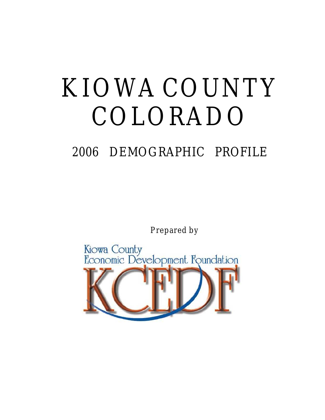# KIOWA COUNTY COLORADO

## 2006 DEMOGRAPHIC PROFILE

Prepared by

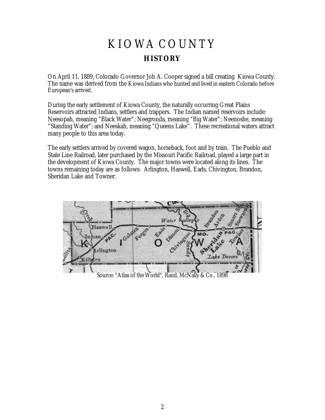### KIOWA COUNTY **HISTORY**

On April 11, 1889, Colorado Governor Job A. Cooper signed a bill creating Kiowa County. The name was derived from the Kiowa Indians who hunted and lived in eastern Colorado before European's arrived.

During the early settlement of Kiowa County, the naturally occurring Great Plains Reservoirs attracted Indians, settlers and trappers. The Indian named reservoirs include: Neesopah, meaning "Black Water"; Neegronda, meaning "Big Water"; Neenoshe, meaning "Standing Water"; and Neeskah, meaning "Queens Lake". These recreational waters attract many people to this area today.

The early settlers arrived by covered wagon, horseback, foot and by train. The Pueblo and State Line Railroad, later purchased by the Missouri Pacific Railroad, played a large part in the development of Kiowa County. The major towns were located along its lines. The towns remaining today are as follows: Arlington, Haswell, Eads, Chivington, Brandon, Sheridan Lake and Towner.



Source: "Atlas of the World", Rand, McNally & Co., 1898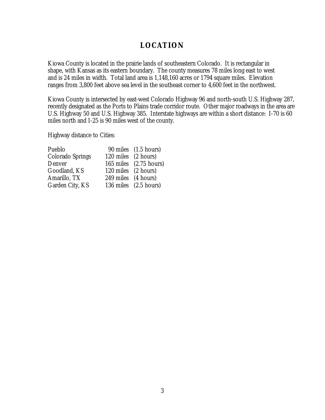#### **LOCATION**

Kiowa County is located in the prairie lands of southeastern Colorado. It is rectangular in shape, with Kansas as its eastern boundary. The county measures 78 miles long east to west and is 24 miles in width. Total land area is 1,148,160 acres or 1794 square miles. Elevation ranges from 3,800 feet above sea level in the southeast corner to 4,600 feet in the northwest.

Kiowa County is intersected by east-west Colorado Highway 96 and north-south U.S. Highway 287, recently designated as the Ports to Plains trade corridor route. Other major roadways in the area are U.S. Highway 50 and U.S. Highway 385. Interstate highways are within a short distance: I-70 is 60 miles north and I-25 is 90 miles west of the county.

Highway distance to Cities:

| Pueblo           |                     | 90 miles (1.5 hours)   |
|------------------|---------------------|------------------------|
| Colorado Springs | 120 miles (2 hours) |                        |
| Denver           |                     | 165 miles (2.75 hours) |
| Goodland, KS     | 120 miles (2 hours) |                        |
| Amarillo, TX     | 249 miles (4 hours) |                        |
| Garden City, KS  |                     | 136 miles (2.5 hours)  |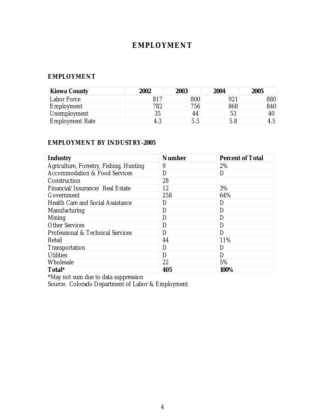#### **EMPLOYMENT**

#### **EMPLOYMENT**

| Kiowa County           | 2002     | 2003 | 2004 | 2005      |
|------------------------|----------|------|------|-----------|
| Labor Force            |          | 800  | 921  | 880       |
| Employment             | 782      | 756  | 868  | 840       |
| Unemployment           | 35       | 44   | 53   | 40        |
| <b>Employment Rate</b> | ◠<br>4.ა | 5.5  | 5.8  | Б<br>ـ 4. |

#### **EMPLOYMENT BY INDUSTRY-2005**

| Industry                                 | Number | Percent of Total |
|------------------------------------------|--------|------------------|
| Agriculture, Forestry, Fishing, Hunting  | 9      | 2%               |
| <b>Accommodation &amp; Food Services</b> | D      | $\Box$           |
| Construction                             | 28     |                  |
| Financial/Insurance/ Real Estate         | 12     | 3%               |
| Government                               | 258    | 64%              |
| <b>Health Care and Social Assistance</b> | D      |                  |
| Manufacturing                            | D      |                  |
| Mining                                   | D      | D                |
| <b>Other Services</b>                    | D      |                  |
| Professional & Technical Services        | Ð      | נ ו              |
| Retail                                   | 44     | 11%              |
| Transportation                           | D      | D                |
| <b>Utilities</b>                         | D      |                  |
| Wholesale                                | 22     | 5%               |
| Total*                                   | 405    | 100%             |

\*May not sum due to data suppression

Source: Colorado Department of Labor & Employment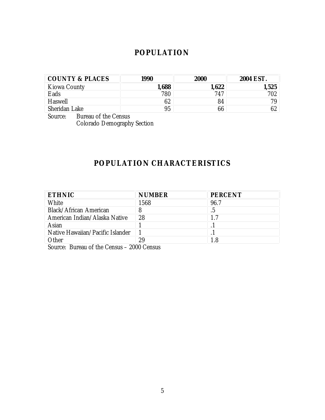#### **POPULATION**

| COUNTY & PLACES | 1990  | 2000 | 2004 EST. |
|-----------------|-------|------|-----------|
| Kiowa County    | 1,688 |      | 1,525     |
| Eads            | 780   | 747  | 702       |
| Haswell         | 02    | 84   | 7۵        |
| Sheridan Lake   | 95    | 66   |           |

Source: Bureau of the Census Colorado Demography Section

#### **POPULATION CHARACTERISTICS**

| <b>ETHNIC</b>                    | <b>NUMBER</b> | PERCENT |
|----------------------------------|---------------|---------|
| White                            | 1568          | 96.7    |
| Black/African American           | 8             | .5      |
| American Indian/Alaska Native    | 28            |         |
| Asian                            |               |         |
| Native Hawaiian/Pacific Islander |               |         |
| Other                            | 29            | 1.8     |

Source: Bureau of the Census – 2000 Census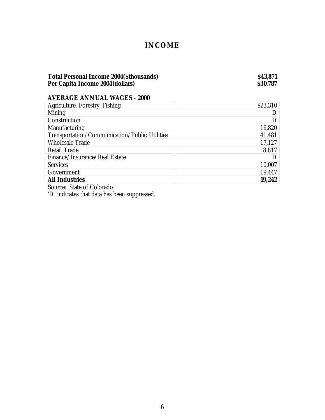#### **INCOME**

#### **Total Personal Income 2004(\$thousands) \$43,871 Per Capita Income 2004(dollars) \$30,787**

**AVERAGE ANNUAL WAGES - 2000**

| Agriculture, Forestry, Fishing                | \$23,310 |
|-----------------------------------------------|----------|
| Mining                                        |          |
| Construction                                  |          |
| Manufacturing                                 | 16,820   |
| Transportation/Communication/Public Utilities | 41,481   |
| <b>Wholesale Trade</b>                        | 17,127   |
| Retail Trade                                  | 8,817    |
| Finance/Insurance/Real Estate                 |          |
| <b>Services</b>                               | 10,007   |
| Government                                    | 19,447   |
| <b>All Industries</b>                         | 19,242   |

Source: State of Colorado

'D' indicates that data has been suppressed.